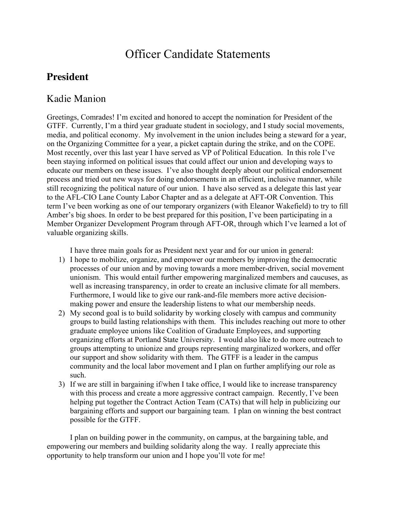# Officer Candidate Statements

#### **President**

#### Kadie Manion

Greetings, Comrades! I'm excited and honored to accept the nomination for President of the GTFF. Currently, I'm a third year graduate student in sociology, and I study social movements, media, and political economy. My involvement in the union includes being a steward for a year, on the Organizing Committee for a year, a picket captain during the strike, and on the COPE. Most recently, over this last year I have served as VP of Political Education. In this role I've been staying informed on political issues that could affect our union and developing ways to educate our members on these issues. I've also thought deeply about our political endorsement process and tried out new ways for doing endorsements in an efficient, inclusive manner, while still recognizing the political nature of our union. I have also served as a delegate this last year to the AFL-CIO Lane County Labor Chapter and as a delegate at AFT-OR Convention. This term I've been working as one of our temporary organizers (with Eleanor Wakefield) to try to fill Amber's big shoes. In order to be best prepared for this position, I've been participating in a Member Organizer Development Program through AFT-OR, through which I've learned a lot of valuable organizing skills.

I have three main goals for as President next year and for our union in general:

- 1) I hope to mobilize, organize, and empower our members by improving the democratic processes of our union and by moving towards a more member-driven, social movement unionism. This would entail further empowering marginalized members and caucuses, as well as increasing transparency, in order to create an inclusive climate for all members. Furthermore, I would like to give our rank-and-file members more active decisionmaking power and ensure the leadership listens to what our membership needs.
- 2) My second goal is to build solidarity by working closely with campus and community groups to build lasting relationships with them. This includes reaching out more to other graduate employee unions like Coalition of Graduate Employees, and supporting organizing efforts at Portland State University. I would also like to do more outreach to groups attempting to unionize and groups representing marginalized workers, and offer our support and show solidarity with them. The GTFF is a leader in the campus community and the local labor movement and I plan on further amplifying our role as such.
- 3) If we are still in bargaining if/when I take office, I would like to increase transparency with this process and create a more aggressive contract campaign. Recently, I've been helping put together the Contract Action Team (CATs) that will help in publicizing our bargaining efforts and support our bargaining team. I plan on winning the best contract possible for the GTFF.

I plan on building power in the community, on campus, at the bargaining table, and empowering our members and building solidarity along the way. I really appreciate this opportunity to help transform our union and I hope you'll vote for me!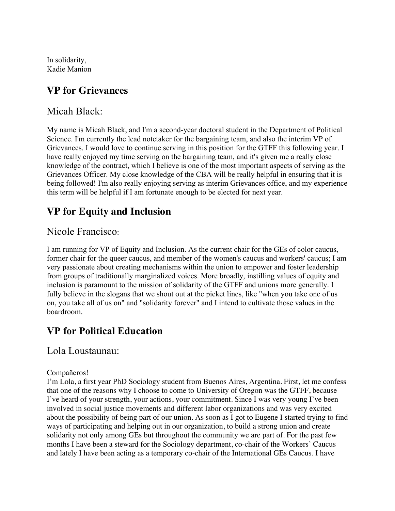In solidarity, Kadie Manion

## **VP for Grievances**

### Micah Black:

My name is Micah Black, and I'm a second-year doctoral student in the Department of Political Science. I'm currently the lead notetaker for the bargaining team, and also the interim VP of Grievances. I would love to continue serving in this position for the GTFF this following year. I have really enjoyed my time serving on the bargaining team, and it's given me a really close knowledge of the contract, which I believe is one of the most important aspects of serving as the Grievances Officer. My close knowledge of the CBA will be really helpful in ensuring that it is being followed! I'm also really enjoying serving as interim Grievances office, and my experience this term will be helpful if I am fortunate enough to be elected for next year.

## **VP for Equity and Inclusion**

### Nicole Francisco:

I am running for VP of Equity and Inclusion. As the current chair for the GEs of color caucus, former chair for the queer caucus, and member of the women's caucus and workers' caucus; I am very passionate about creating mechanisms within the union to empower and foster leadership from groups of traditionally marginalized voices. More broadly, instilling values of equity and inclusion is paramount to the mission of solidarity of the GTFF and unions more generally. I fully believe in the slogans that we shout out at the picket lines, like "when you take one of us on, you take all of us on" and "solidarity forever" and I intend to cultivate those values in the boardroom.

### **VP for Political Education**

### Lola Loustaunau:

#### Compañeros!

I'm Lola, a first year PhD Sociology student from Buenos Aires, Argentina. First, let me confess that one of the reasons why I choose to come to University of Oregon was the GTFF, because I've heard of your strength, your actions, your commitment. Since I was very young I've been involved in social justice movements and different labor organizations and was very excited about the possibility of being part of our union. As soon as I got to Eugene I started trying to find ways of participating and helping out in our organization, to build a strong union and create solidarity not only among GEs but throughout the community we are part of. For the past few months I have been a steward for the Sociology department, co-chair of the Workers' Caucus and lately I have been acting as a temporary co-chair of the International GEs Caucus. I have